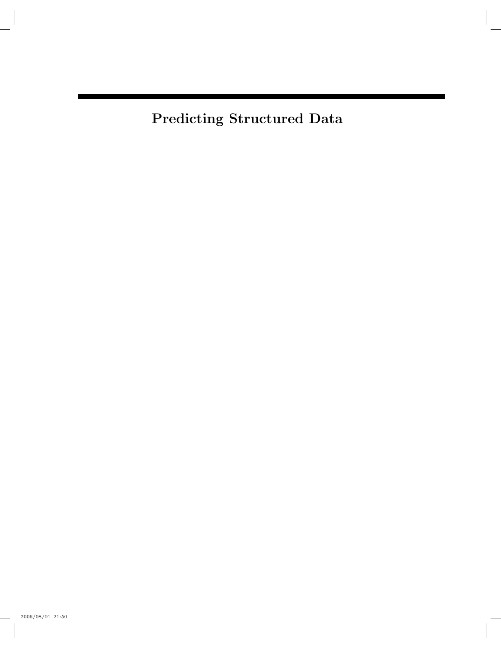Predicting Structured Data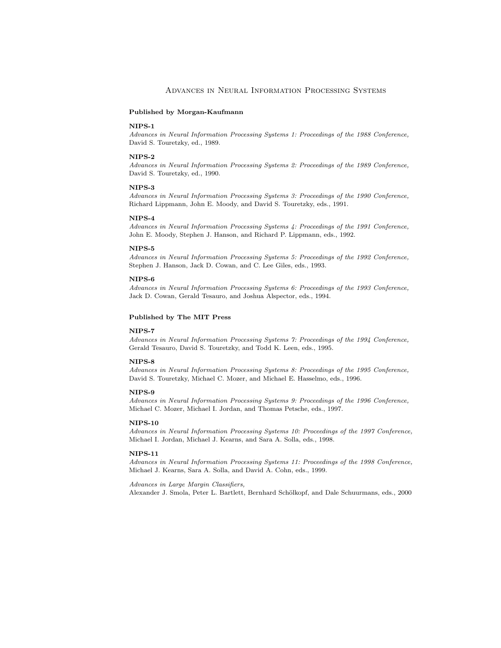## Advances in Neural Information Processing Systems

#### Published by Morgan-Kaufmann

## NIPS-1

Advances in Neural Information Processing Systems 1: Proceedings of the 1988 Conference, David S. Touretzky, ed., 1989.

#### NIPS-2

Advances in Neural Information Processing Systems 2: Proceedings of the 1989 Conference, David S. Touretzky, ed., 1990.

#### NIPS-3

Advances in Neural Information Processing Systems 3: Proceedings of the 1990 Conference, Richard Lippmann, John E. Moody, and David S. Touretzky, eds., 1991.

#### NIPS-4

Advances in Neural Information Processing Systems 4: Proceedings of the 1991 Conference, John E. Moody, Stephen J. Hanson, and Richard P. Lippmann, eds., 1992.

#### NIPS-5

Advances in Neural Information Processing Systems 5: Proceedings of the 1992 Conference, Stephen J. Hanson, Jack D. Cowan, and C. Lee Giles, eds., 1993.

#### NIPS-6

Advances in Neural Information Processing Systems 6: Proceedings of the 1993 Conference, Jack D. Cowan, Gerald Tesauro, and Joshua Alspector, eds., 1994.

#### Published by The MIT Press

#### NIPS-7

Advances in Neural Information Processing Systems 7: Proceedings of the 1994 Conference, Gerald Tesauro, David S. Touretzky, and Todd K. Leen, eds., 1995.

#### NIPS-8

Advances in Neural Information Processing Systems 8: Proceedings of the 1995 Conference, David S. Touretzky, Michael C. Mozer, and Michael E. Hasselmo, eds., 1996.

## NIPS-9

Advances in Neural Information Processing Systems 9: Proceedings of the 1996 Conference, Michael C. Mozer, Michael I. Jordan, and Thomas Petsche, eds., 1997.

#### NIPS-10

Advances in Neural Information Processing Systems 10: Proceedings of the 1997 Conference, Michael I. Jordan, Michael J. Kearns, and Sara A. Solla, eds., 1998.

## NIPS-11

Advances in Neural Information Processing Systems 11: Proceedings of the 1998 Conference, Michael J. Kearns, Sara A. Solla, and David A. Cohn, eds., 1999.

Advances in Large Margin Classifiers,

Alexander J. Smola, Peter L. Bartlett, Bernhard Schölkopf, and Dale Schuurmans, eds., 2000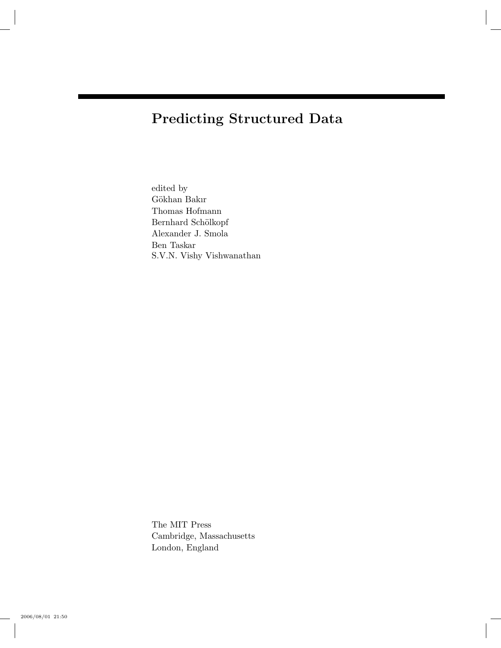# Predicting Structured Data

edited by Gökhan Bakır Thomas Hofmann Bernhard Schölkopf Alexander J. Smola Ben Taskar S.V.N. Vishy Vishwanathan

The MIT Press Cambridge, Massachusetts London, England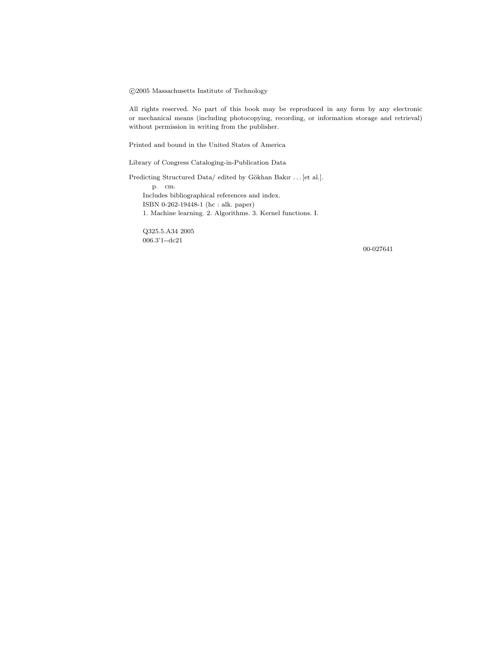c 2005 Massachusetts Institute of Technology

All rights reserved. No part of this book may be reproduced in any form by any electronic or mechanical means (including photocopying, recording, or information storage and retrieval) without permission in writing from the publisher.

Printed and bound in the United States of America

Library of Congress Cataloging-in-Publication Data

Predicting Structured Data/ edited by Gökhan Bakır ...[et al.]. p. cm. Includes bibliographical references and index. ISBN 0-262-19448-1 (hc : alk. paper) 1. Machine learning. 2. Algorithms. 3. Kernel functions. I.

Q325.5.A34 2005 006.3'1--dc21

00-027641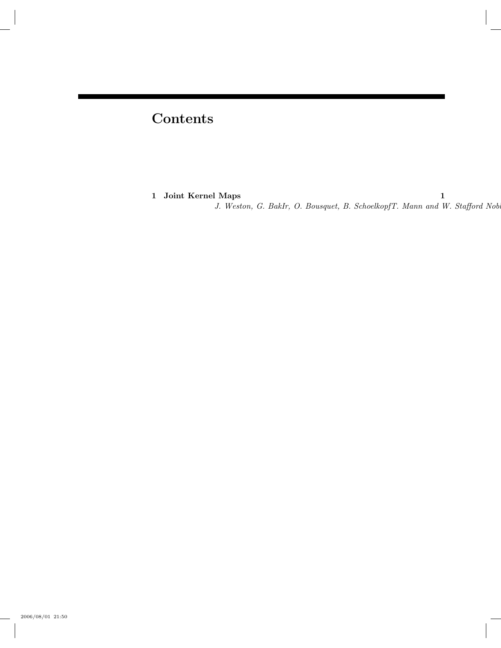# Contents

1 Joint Kernel Maps 1

J. Weston, G. BakIr, O. Bousquet, B. SchoelkopfT. Mann and W. Stafford Nob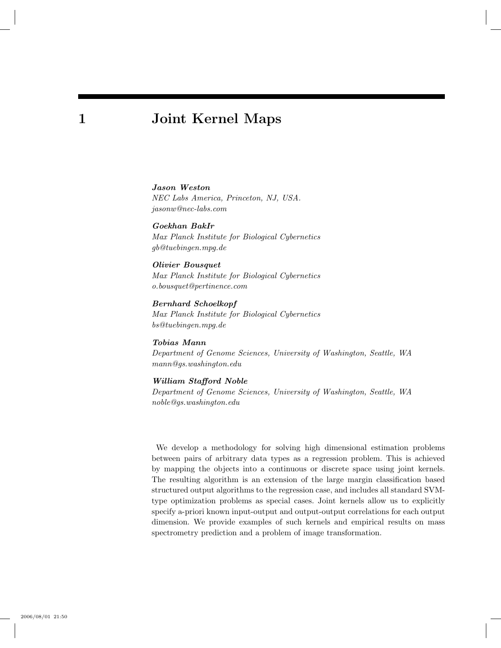## 1 Joint Kernel Maps

#### Jason Weston

NEC Labs America, Princeton, NJ, USA. jasonw@nec-labs.com

Goekhan BakIr Max Planck Institute for Biological Cybernetics gb@tuebingen.mpg.de

## Olivier Bousquet

Max Planck Institute for Biological Cybernetics o.bousquet@pertinence.com

Bernhard Schoelkopf Max Planck Institute for Biological Cybernetics bs@tuebingen.mpg.de

Tobias Mann Department of Genome Sciences, University of Washington, Seattle, WA mann@gs.washington.edu

## William Stafford Noble

Department of Genome Sciences, University of Washington, Seattle, WA noble@gs.washington.edu

We develop a methodology for solving high dimensional estimation problems between pairs of arbitrary data types as a regression problem. This is achieved by mapping the objects into a continuous or discrete space using joint kernels. The resulting algorithm is an extension of the large margin classification based structured output algorithms to the regression case, and includes all standard SVMtype optimization problems as special cases. Joint kernels allow us to explicitly specify a-priori known input-output and output-output correlations for each output dimension. We provide examples of such kernels and empirical results on mass spectrometry prediction and a problem of image transformation.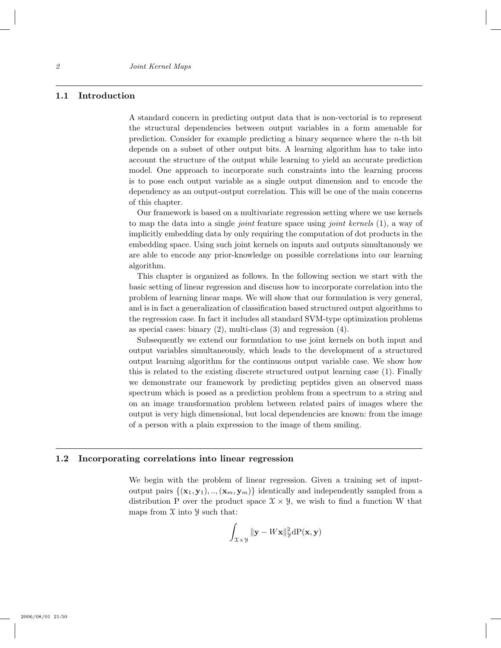## 1.1 Introduction

A standard concern in predicting output data that is non-vectorial is to represent the structural dependencies between output variables in a form amenable for prediction. Consider for example predicting a binary sequence where the n-th bit depends on a subset of other output bits. A learning algorithm has to take into account the structure of the output while learning to yield an accurate prediction model. One approach to incorporate such constraints into the learning process is to pose each output variable as a single output dimension and to encode the dependency as an output-output correlation. This will be one of the main concerns of this chapter.

Our framework is based on a multivariate regression setting where we use kernels to map the data into a single joint feature space using joint kernels (1), a way of implicitly embedding data by only requiring the computation of dot products in the embedding space. Using such joint kernels on inputs and outputs simultanously we are able to encode any prior-knowledge on possible correlations into our learning algorithm.

This chapter is organized as follows. In the following section we start with the basic setting of linear regression and discuss how to incorporate correlation into the problem of learning linear maps. We will show that our formulation is very general, and is in fact a generalization of classification based structured output algorithms to the regression case. In fact it includes all standard SVM-type optimization problems as special cases: binary  $(2)$ , multi-class  $(3)$  and regression  $(4)$ .

Subsequently we extend our formulation to use joint kernels on both input and output variables simultaneously, which leads to the development of a structured output learning algorithm for the continuous output variable case. We show how this is related to the existing discrete structured output learning case (1). Finally we demonstrate our framework by predicting peptides given an observed mass spectrum which is posed as a prediction problem from a spectrum to a string and on an image transformation problem between related pairs of images where the output is very high dimensional, but local dependencies are known: from the image of a person with a plain expression to the image of them smiling.

### 1.2 Incorporating correlations into linear regression

We begin with the problem of linear regression. Given a training set of inputoutput pairs  $\{(x_1, y_1), ..., (x_m, y_m)\}\$ identically and independently sampled from a distribution P over the product space  $\mathcal{X} \times \mathcal{Y}$ , we wish to find a function W that maps from  $\mathfrak X$  into  $\mathfrak Y$  such that:

$$
\int_{\mathfrak{X}\times \mathcal{Y}}\|\mathbf{y} - W\mathbf{x}\|_{\mathcal{Y}}^2\mathrm{d}P(\mathbf{x},\mathbf{y})
$$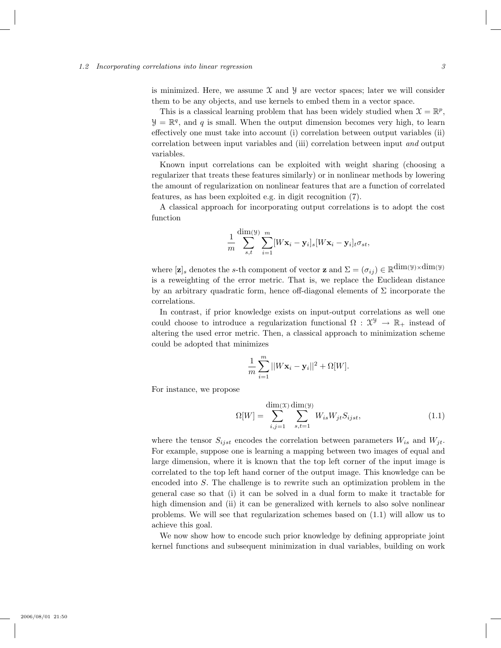#### 1.2 Incorporating correlations into linear regression 3

is minimized. Here, we assume  $X$  and  $Y$  are vector spaces; later we will consider them to be any objects, and use kernels to embed them in a vector space.

This is a classical learning problem that has been widely studied when  $\mathcal{X} = \mathbb{R}^p$ ,  $\mathcal{Y} = \mathbb{R}^q$ , and q is small. When the output dimension becomes very high, to learn effectively one must take into account (i) correlation between output variables (ii) correlation between input variables and (iii) correlation between input and output variables.

Known input correlations can be exploited with weight sharing (choosing a regularizer that treats these features similarly) or in nonlinear methods by lowering the amount of regularization on nonlinear features that are a function of correlated features, as has been exploited e.g. in digit recognition (7).

A classical approach for incorporating output correlations is to adopt the cost function

$$
\frac{1}{m}\sum_{s,t}^{\dim(\mathcal{Y})}\sum_{i=1}^m[W\mathbf{x}_i-\mathbf{y}_i]_s[W\mathbf{x}_i-\mathbf{y}_i]_t\sigma_{st},
$$

where  $[\mathbf{z}]_s$  denotes the s-th component of vector **z** and  $\Sigma = (\sigma_{ij}) \in \mathbb{R}^{\dim(y) \times \dim(y)}$ is a reweighting of the error metric. That is, we replace the Euclidean distance by an arbitrary quadratic form, hence off-diagonal elements of  $\Sigma$  incorporate the correlations.

In contrast, if prior knowledge exists on input-output correlations as well one could choose to introduce a regularization functional  $\Omega: \mathfrak{X}^{\mathcal{Y}} \to \mathbb{R}_{+}$  instead of altering the used error metric. Then, a classical approach to minimization scheme could be adopted that minimizes

$$
\frac{1}{m}\sum_{i=1}^{m}||W\mathbf{x}_i-\mathbf{y}_i||^2+\Omega[W].
$$

For instance, we propose

$$
\Omega[W] = \sum_{i,j=1}^{\dim(\mathcal{X})} \sum_{s,t=1}^{\dim(\mathcal{Y})} W_{is} W_{jt} S_{ijst},
$$
\n(1.1)

where the tensor  $S_{ijst}$  encodes the correlation between parameters  $W_{is}$  and  $W_{jt}$ . For example, suppose one is learning a mapping between two images of equal and large dimension, where it is known that the top left corner of the input image is correlated to the top left hand corner of the output image. This knowledge can be encoded into S. The challenge is to rewrite such an optimization problem in the general case so that (i) it can be solved in a dual form to make it tractable for high dimension and (ii) it can be generalized with kernels to also solve nonlinear problems. We will see that regularization schemes based on (1.1) will allow us to achieve this goal.

We now show how to encode such prior knowledge by defining appropriate joint kernel functions and subsequent minimization in dual variables, building on work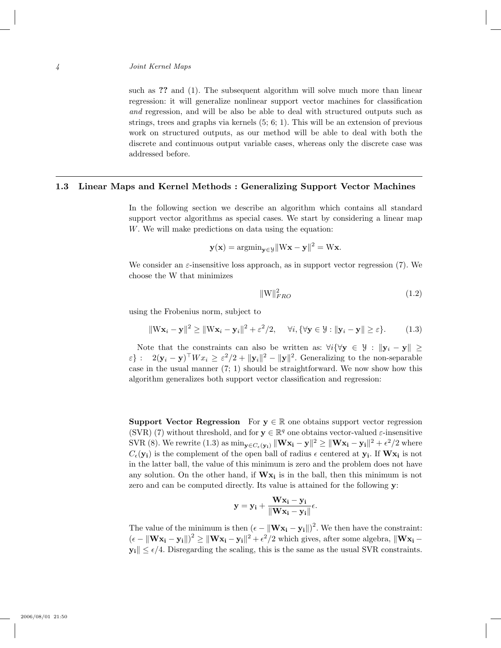such as ?? and (1). The subsequent algorithm will solve much more than linear regression: it will generalize nonlinear support vector machines for classification and regression, and will be also be able to deal with structured outputs such as strings, trees and graphs via kernels  $(5, 6, 1)$ . This will be an extension of previous work on structured outputs, as our method will be able to deal with both the discrete and continuous output variable cases, whereas only the discrete case was addressed before.

## 1.3 Linear Maps and Kernel Methods : Generalizing Support Vector Machines

In the following section we describe an algorithm which contains all standard support vector algorithms as special cases. We start by considering a linear map W. We will make predictions on data using the equation:

$$
\mathbf{y}(\mathbf{x}) = \operatorname{argmin}_{\mathbf{y} \in \mathcal{Y}} \|\mathbf{W}\mathbf{x} - \mathbf{y}\|^2 = \mathbf{W}\mathbf{x}.
$$

We consider an  $\varepsilon$ -insensitive loss approach, as in support vector regression (7). We choose the W that minimizes

$$
\|\mathbf{W}\|_{FRO}^2\tag{1.2}
$$

using the Frobenius norm, subject to

$$
\|\mathbf{W}\mathbf{x}_i - \mathbf{y}\|^2 \ge \|\mathbf{W}\mathbf{x}_i - \mathbf{y}_i\|^2 + \varepsilon^2/2, \quad \forall i, \{\forall \mathbf{y} \in \mathcal{Y} : \|\mathbf{y}_i - \mathbf{y}\| \ge \varepsilon\}.
$$
 (1.3)

Note that the constraints can also be written as:  $\forall i \{\forall y \in \mathcal{Y} : ||y_i - y|| \geq \emptyset\}$  $\varepsilon$ }:  $2(\mathbf{y}_i - \mathbf{y})^\top W x_i \geq \varepsilon^2/2 + ||\mathbf{y}_i||^2 - ||\mathbf{y}||^2$ . Generalizing to the non-separable case in the usual manner (7; 1) should be straightforward. We now show how this algorithm generalizes both support vector classification and regression:

**Support Vector Regression** For  $y \in \mathbb{R}$  one obtains support vector regression (SVR) (7) without threshold, and for  $y \in \mathbb{R}^q$  one obtains vector-valued  $\varepsilon$ -insensitive SVR (8). We rewrite (1.3) as  $\min_{\mathbf{y}\in C_{\epsilon}(\mathbf{y_i})} \|\mathbf{W}\mathbf{x_i} - \mathbf{y}\|^2 \geq \|\mathbf{W}\mathbf{x_i} - \mathbf{y_i}\|^2 + \epsilon^2/2$  where  $C_{\epsilon}(\mathbf{y_i})$  is the complement of the open ball of radius  $\epsilon$  centered at  $\mathbf{y_i}$ . If  $\mathbf{W} \mathbf{x_i}$  is not in the latter ball, the value of this minimum is zero and the problem does not have any solution. On the other hand, if  $Wx_i$  is in the ball, then this minimum is not zero and can be computed directly. Its value is attained for the following y:

$$
\mathbf{y} = \mathbf{y_i} + \frac{\mathbf{W}\mathbf{x_i} - \mathbf{y_i}}{\|\mathbf{W}\mathbf{x_i} - \mathbf{y_i}\|} \epsilon.
$$

The value of the minimum is then  $(\epsilon - ||\mathbf{W}\mathbf{x_i} - \mathbf{y_i}||)^2$ . We then have the constraint:  $(\epsilon - \|\mathbf{W}\mathbf{x_i} - \mathbf{y_i}\|^2) \geq \|\mathbf{W}\mathbf{x_i} - \mathbf{y_i}\|^2 + \epsilon^2/2$  which gives, after some algebra,  $\|\mathbf{W}\mathbf{x_i} - \mathbf{y_i}\|^2$  $\|\mathbf{y}_i\| \leq \epsilon/4$ . Disregarding the scaling, this is the same as the usual SVR constraints.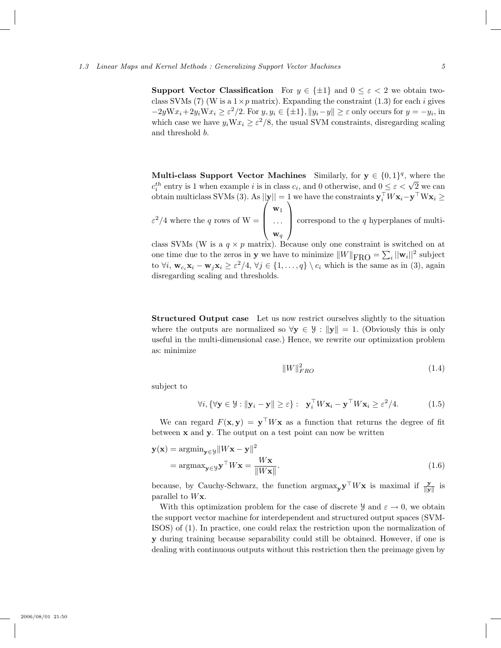#### 1.3 Linear Maps and Kernel Methods : Generalizing Support Vector Machines 5

**Support Vector Classification** For  $y \in {\pm 1}$  and  $0 \leq \varepsilon < 2$  we obtain twoclass SVMs (7) (W is a  $1 \times p$  matrix). Expanding the constraint (1.3) for each i gives  $-2yWx_i+2y_iWx_i \geq \varepsilon^2/2$ . For  $y, y_i \in \{\pm 1\}, ||y_i-y|| \geq \varepsilon$  only occurs for  $y = -y_i$ , in which case we have  $y_i \mathbf{W} x_i \geq \varepsilon^2/8$ , the usual SVM constraints, disregarding scaling and threshold b.

Multi-class Support Vector Machines Similarly, for  $y \in \{0,1\}^q$ , where the where the support vector machines similarly, for  $y \in \{0, 1\}^{\lambda}$ , where the  $c_i^{th}$  entry is 1 when example *i* is in class  $c_i$ , and 0 otherwise, and  $0 \le \varepsilon < \sqrt{2}$  we can  $\mathcal{L}_i$  entry is 1 when example t is in class  $\mathcal{L}_i$ , and 0 otherwise, and  $0 \leq \varepsilon \leq \sqrt{2}$  we can obtain multiclass SVMs (3). As  $||y|| = 1$  we have the constraints  $y_i^{\top} W x_i - y^{\top} W x_i \geq 1$  $\gamma$  $\setminus$ 

 $\varepsilon^2/4$  where the q rows of W =  $\overline{\phantom{a}}$  $\mathbf{w}_1$ . . .  $\mathbf{w}_q$ correspond to the  $q$  hyperplanes of multi-

class SVMs (W is a  $q \times p$  matrix). Because only one constraint is switched on at one time due to the zeros in **y** we have to minimize  $||W||_{\text{FRO}} = \sum_{i} ||\mathbf{w}_i||^2$  subject to  $\forall i$ ,  $\mathbf{w}_{c_i} \mathbf{x}_i - \mathbf{w}_j \mathbf{x}_i \geq \varepsilon^2/4$ ,  $\forall j \in \{1, ..., q\} \setminus c_i$  which is the same as in (3), again disregarding scaling and thresholds.

Structured Output case Let us now restrict ourselves slightly to the situation where the outputs are normalized so  $\forall y \in \mathcal{Y} : ||y|| = 1$ . (Obviously this is only useful in the multi-dimensional case.) Hence, we rewrite our optimization problem as: minimize

$$
||W||_{FRO}^2 \tag{1.4}
$$

subject to

$$
\forall i, \{ \forall \mathbf{y} \in \mathcal{Y} : \|\mathbf{y}_i - \mathbf{y}\| \ge \varepsilon \}: \ \mathbf{y}_i^\top W \mathbf{x}_i - \mathbf{y}^\top W \mathbf{x}_i \ge \varepsilon^2 / 4. \tag{1.5}
$$

We can regard  $F(\mathbf{x}, \mathbf{y}) = \mathbf{y}^\top W \mathbf{x}$  as a function that returns the degree of fit between  $x$  and  $y$ . The output on a test point can now be written

$$
\mathbf{y}(\mathbf{x}) = \operatorname{argmin}_{\mathbf{y} \in \mathcal{Y}} \|W\mathbf{x} - \mathbf{y}\|^2
$$
  
= 
$$
\operatorname{argmax}_{\mathbf{y} \in \mathcal{Y}} \mathbf{y}^\top W \mathbf{x} = \frac{W\mathbf{x}}{\|W\mathbf{x}\|}.
$$
 (1.6)

because, by Cauchy-Schwarz, the function  $\operatorname{argmax}_{\mathbf{y}} \mathbf{y}^\top W \mathbf{x}$  is maximal if  $\frac{\mathbf{y}}{\|\mathbf{y}\|}$  is parallel to  $W$ **x**.

With this optimization problem for the case of discrete  $\mathcal{Y}$  and  $\varepsilon \to 0$ , we obtain the support vector machine for interdependent and structured output spaces (SVM-ISOS) of (1). In practice, one could relax the restriction upon the normalization of y during training because separability could still be obtained. However, if one is dealing with continuous outputs without this restriction then the preimage given by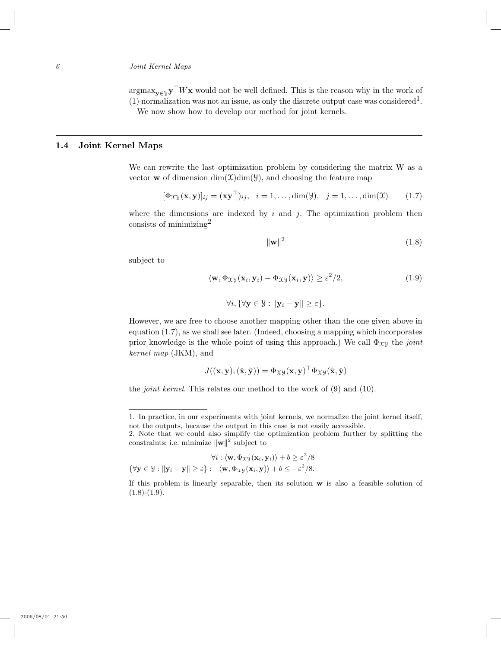$\operatorname{argmax}_{\mathbf{y} \in \mathcal{Y}} \mathbf{y}^\top W \mathbf{x}$  would not be well defined. This is the reason why in the work of (1) normalization was not an issue, as only the discrete output case was considered<sup>1</sup>. We now show how to develop our method for joint kernels.

## 1.4 Joint Kernel Maps

We can rewrite the last optimization problem by considering the matrix W as a vector **w** of dimension  $\dim(\mathfrak{X})\dim(\mathfrak{Y})$ , and choosing the feature map

$$
[\Phi_{\mathcal{X}\mathcal{Y}}(\mathbf{x}, \mathbf{y})]_{ij} = (\mathbf{x}\mathbf{y}^{\top})_{ij}, \quad i = 1, \dots, \dim(\mathcal{Y}), \quad j = 1, \dots, \dim(\mathcal{X})
$$
 (1.7)

where the dimensions are indexed by i and j. The optimization problem then consists of minimizing2

$$
\|\mathbf{w}\|^2\tag{1.8}
$$

subject to

$$
\langle \mathbf{w}, \Phi_{\mathcal{X}\mathcal{Y}}(\mathbf{x}_i, \mathbf{y}_i) - \Phi_{\mathcal{X}\mathcal{Y}}(\mathbf{x}_i, \mathbf{y}) \rangle \ge \varepsilon^2/2, \tag{1.9}
$$

$$
\forall i, \{\forall \mathbf{y} \in \mathcal{Y} : \|\mathbf{y}_i - \mathbf{y}\| \geq \varepsilon\}.
$$

However, we are free to choose another mapping other than the one given above in equation (1.7), as we shall see later. (Indeed, choosing a mapping which incorporates prior knowledge is the whole point of using this approach.) We call  $\Phi_{xy}$  the joint kernel map (JKM), and

$$
J((\mathbf{x}, \mathbf{y}), (\hat{\mathbf{x}}, \hat{\mathbf{y}})) = \Phi_{\mathcal{X}\mathcal{Y}}(\mathbf{x}, \mathbf{y})^{\top} \Phi_{\mathcal{X}\mathcal{Y}}(\hat{\mathbf{x}}, \hat{\mathbf{y}})
$$

the joint kernel. This relates our method to the work of (9) and (10).

$$
\forall i : \langle \mathbf{w}, \Phi_{xy}(\mathbf{x}_i, \mathbf{y}_i) \rangle + b \ge \varepsilon^2/8
$$
  

$$
\{\forall \mathbf{y} \in \mathcal{Y} : ||\mathbf{y}_i - \mathbf{y}|| \ge \varepsilon\} : \langle \mathbf{w}, \Phi_{xy}(\mathbf{x}_i, \mathbf{y}) \rangle + b \le -\varepsilon^2/8.
$$

<sup>1.</sup> In practice, in our experiments with joint kernels, we normalize the joint kernel itself, not the outputs, because the output in this case is not easily accessible.

<sup>2.</sup> Note that we could also simplify the optimization problem further by splitting the constraints: i.e. minimize  $\|\mathbf{w}\|^2$  subject to

If this problem is linearly separable, then its solution w is also a feasible solution of  $(1.8)-(1.9).$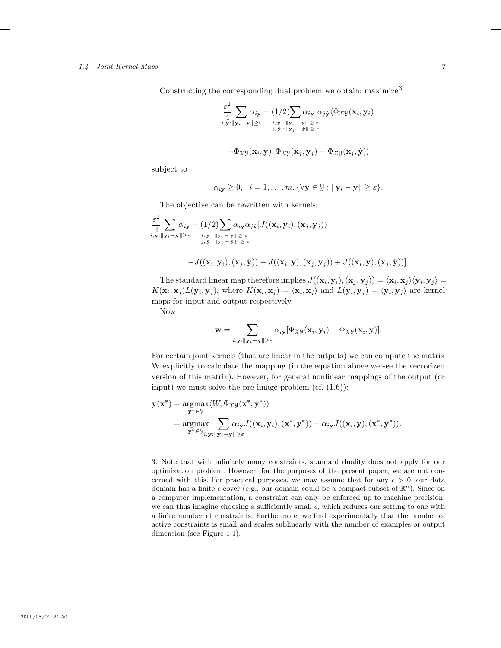## 1.4 Joint Kernel Maps 7

Constructing the corresponding dual problem we obtain: maximize<sup>3</sup>

$$
\frac{\varepsilon^2}{4} \sum_{i,\mathbf{y}: \|\mathbf{y}_i - \mathbf{y}\| \geq \varepsilon} \alpha_{i\mathbf{y}} - (1/2) \sum_{i,\mathbf{y}: \|\mathbf{y}_i - \mathbf{y}\| \geq \varepsilon} \alpha_{i\mathbf{y}} \alpha_{j\hat{\mathbf{y}}} \langle \Phi_{\mathcal{X}\mathcal{Y}}(\mathbf{x}_i, \mathbf{y}_i) \rangle \n- \Phi_{\mathcal{X}\mathcal{Y}}(\mathbf{x}_i, \mathbf{y}), \Phi_{\mathcal{X}\mathcal{Y}}(\mathbf{x}_j, \mathbf{y}_j) - \Phi_{\mathcal{X}\mathcal{Y}}(\mathbf{x}_j, \hat{\mathbf{y}}) \rangle
$$

subject to

$$
\alpha_{i\mathbf{y}} \geq 0, \quad i = 1, \dots, m, \{\forall \mathbf{y} \in \mathcal{Y} : \|\mathbf{y}_i - \mathbf{y}\| \geq \varepsilon\}.
$$

The objective can be rewritten with kernels:

$$
\frac{\varepsilon^2}{\frac{4}{\alpha}\sum_{i,\mathbf{y}}\alpha_{i\mathbf{y}} - (1/2)\sum_{i,\mathbf{y}}\alpha_{i\mathbf{y}}\alpha_{j\hat{\mathbf{y}}}[J((\mathbf{x}_i,\mathbf{y}_i),(\mathbf{x}_j,\mathbf{y}_j))\n}{\alpha_{i,\mathbf{y}}:\|\mathbf{y}_i - \mathbf{y}\| \geq \varepsilon}\n\qquad \qquad\n- J((\mathbf{x}_i,\mathbf{y}_i),(\mathbf{x}_j,\hat{\mathbf{y}})) - J((\mathbf{x}_i,\mathbf{y}),(\mathbf{x}_j,\mathbf{y}_j)) + J((\mathbf{x}_i,\mathbf{y}),(\mathbf{x}_j,\hat{\mathbf{y}}))].
$$

The standard linear map therefore implies  $J((\mathbf{x}_i, \mathbf{y}_i), (\mathbf{x}_j, \mathbf{y}_j)) = \langle \mathbf{x}_i, \mathbf{x}_j \rangle \langle \mathbf{y}_i, \mathbf{y}_j \rangle =$  $K(\mathbf{x}_i, \mathbf{x}_j)L(\mathbf{y}_i, \mathbf{y}_j)$ , where  $K(\mathbf{x}_i, \mathbf{x}_j) = \langle \mathbf{x}_i, \mathbf{x}_j \rangle$  and  $L(\mathbf{y}_i, \mathbf{y}_j) = \langle \mathbf{y}_i, \mathbf{y}_j \rangle$  are kernel maps for input and output respectively.

Now

$$
\mathbf{w} = \sum_{i,\mathbf{y}: \|\mathbf{y}_i - \mathbf{y}\| \geq \varepsilon} \alpha_{i\mathbf{y}} [\Phi_{\mathcal{X}\mathcal{Y}}(\mathbf{x}_i, \mathbf{y}_i) - \Phi_{\mathcal{X}\mathcal{Y}}(\mathbf{x}_i, \mathbf{y})].
$$

For certain joint kernels (that are linear in the outputs) we can compute the matrix W explicitly to calculate the mapping (in the equation above we see the vectorized version of this matrix). However, for general nonlinear mappings of the output (or input) we must solve the pre-image problem  $(cf. (1.6))$ :

$$
\mathbf{y}(\mathbf{x}^*) = \underset{\mathbf{y}^* \in \mathcal{Y}}{\operatorname{argmax}} \langle W, \Phi_{\mathcal{X}\mathcal{Y}}(\mathbf{x}^*, \mathbf{y}^*) \rangle \n= \underset{\mathbf{y}^* \in \mathcal{Y}_{i, \mathbf{y} : ||\mathbf{y}_i - \mathbf{y}|| \ge \varepsilon}}{\operatorname{argmax}} \sum_{\mathbf{y}^* \in \mathcal{Y}_{i, \mathbf{y} : ||\mathbf{y}_i - \mathbf{y}|| \ge \varepsilon}} \alpha_{i\mathbf{y}} J((\mathbf{x}_i, \mathbf{y}^*), (\mathbf{x}^*, \mathbf{y}^*) - \alpha_{i\mathbf{y}} J((\mathbf{x}_i, \mathbf{y}), (\mathbf{x}^*, \mathbf{y}^*)).
$$

<sup>3.</sup> Note that with infinitely many constraints, standard duality does not apply for our optimization problem. However, for the purposes of the present paper, we are not concerned with this. For practical purposes, we may assume that for any  $\epsilon > 0$ , our data domain has a finite  $\epsilon$ -cover (e.g., our domain could be a compact subset of  $\mathbb{R}^n$ ). Since on a computer implementation, a constraint can only be enforced up to machine precision, we can thus imagine choosing a sufficiently small  $\epsilon$ , which reduces our setting to one with a finite number of constraints. Furthermore, we find experimentally that the number of active constraints is small and scales sublinearly with the number of examples or output dimension (see Figure 1.1).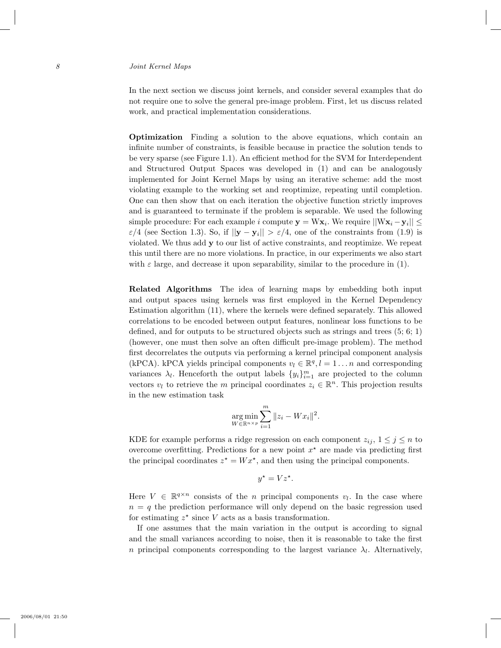In the next section we discuss joint kernels, and consider several examples that do not require one to solve the general pre-image problem. First, let us discuss related work, and practical implementation considerations.

Optimization Finding a solution to the above equations, which contain an infinite number of constraints, is feasible because in practice the solution tends to be very sparse (see Figure 1.1). An efficient method for the SVM for Interdependent and Structured Output Spaces was developed in (1) and can be analogously implemented for Joint Kernel Maps by using an iterative scheme: add the most violating example to the working set and reoptimize, repeating until completion. One can then show that on each iteration the objective function strictly improves and is guaranteed to terminate if the problem is separable. We used the following simple procedure: For each example  $i$  compute  $\mathbf{y} = \mathrm{W} \mathbf{x}_i$ . We require  $||\mathrm{W} \mathbf{x}_i - \mathbf{y}_i|| \le$  $\varepsilon/4$  (see Section 1.3). So, if  $||\mathbf{y} - \mathbf{y}_i|| > \varepsilon/4$ , one of the constraints from (1.9) is violated. We thus add y to our list of active constraints, and reoptimize. We repeat this until there are no more violations. In practice, in our experiments we also start with  $\varepsilon$  large, and decrease it upon separability, similar to the procedure in (1).

Related Algorithms The idea of learning maps by embedding both input and output spaces using kernels was first employed in the Kernel Dependency Estimation algorithm (11), where the kernels were defined separately. This allowed correlations to be encoded between output features, nonlinear loss functions to be defined, and for outputs to be structured objects such as strings and trees (5; 6; 1) (however, one must then solve an often difficult pre-image problem). The method first decorrelates the outputs via performing a kernel principal component analysis (kPCA). kPCA yields principal components  $v_l \in \mathbb{R}^q, l = 1...n$  and corresponding variances  $\lambda_l$ . Henceforth the output labels  $\{y_i\}_{i=1}^m$  are projected to the column vectors  $v_l$  to retrieve the m principal coordinates  $z_i \in \mathbb{R}^n$ . This projection results in the new estimation task

$$
\argmin_{W \in \mathbb{R}^{n \times p}} \sum_{i=1}^{m} \|z_i - Wx_i\|^2.
$$

KDE for example performs a ridge regression on each component  $z_{ij}$ ,  $1 \leq j \leq n$  to overcome overfitting. Predictions for a new point  $x^*$  are made via predicting first the principal coordinates  $z^* = Wx^*$ , and then using the principal components.

$$
y^* = Vz^*.
$$

Here  $V \in \mathbb{R}^{q \times n}$  consists of the *n* principal components  $v_l$ . In the case where  $n = q$  the prediction performance will only depend on the basic regression used for estimating  $z^*$  since V acts as a basis transformation.

If one assumes that the main variation in the output is according to signal and the small variances according to noise, then it is reasonable to take the first n principal components corresponding to the largest variance  $\lambda_l$ . Alternatively,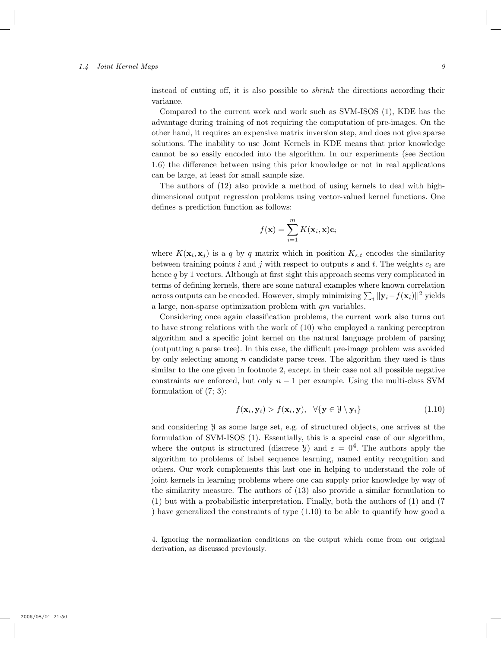#### 1.4 Joint Kernel Maps 9

instead of cutting off, it is also possible to shrink the directions according their variance.

Compared to the current work and work such as SVM-ISOS (1), KDE has the advantage during training of not requiring the computation of pre-images. On the other hand, it requires an expensive matrix inversion step, and does not give sparse solutions. The inability to use Joint Kernels in KDE means that prior knowledge cannot be so easily encoded into the algorithm. In our experiments (see Section 1.6) the difference between using this prior knowledge or not in real applications can be large, at least for small sample size.

The authors of (12) also provide a method of using kernels to deal with highdimensional output regression problems using vector-valued kernel functions. One defines a prediction function as follows:

$$
f(\mathbf{x}) = \sum_{i=1}^{m} K(\mathbf{x}_i, \mathbf{x}) \mathbf{c}_i
$$

where  $K(\mathbf{x}_i, \mathbf{x}_j)$  is a q by q matrix which in position  $K_{s,t}$  encodes the similarity between training points i and j with respect to outputs s and t. The weights  $c_i$  are hence  $q$  by 1 vectors. Although at first sight this approach seems very complicated in terms of defining kernels, there are some natural examples where known correlation across outputs can be encoded. However, simply minimizing  $\sum_i ||\mathbf{y}_i - f(\mathbf{x}_i)||^2$  yields a large, non-sparse optimization problem with qm variables.

Considering once again classification problems, the current work also turns out to have strong relations with the work of (10) who employed a ranking perceptron algorithm and a specific joint kernel on the natural language problem of parsing (outputting a parse tree). In this case, the difficult pre-image problem was avoided by only selecting among  $n$  candidate parse trees. The algorithm they used is thus similar to the one given in footnote 2, except in their case not all possible negative constraints are enforced, but only  $n-1$  per example. Using the multi-class SVM formulation of (7; 3):

$$
f(\mathbf{x}_i, \mathbf{y}_i) > f(\mathbf{x}_i, \mathbf{y}), \quad \forall {\mathbf{y} \in \mathcal{Y} \setminus \mathbf{y}_i}
$$
\n(1.10)

and considering Y as some large set, e.g. of structured objects, one arrives at the formulation of SVM-ISOS (1). Essentially, this is a special case of our algorithm, where the output is structured (discrete  $\mathcal{Y}$ ) and  $\varepsilon = 0^4$ . The authors apply the algorithm to problems of label sequence learning, named entity recognition and others. Our work complements this last one in helping to understand the role of joint kernels in learning problems where one can supply prior knowledge by way of the similarity measure. The authors of (13) also provide a similar formulation to (1) but with a probabilistic interpretation. Finally, both the authors of (1) and (? ) have generalized the constraints of type (1.10) to be able to quantify how good a

<sup>4.</sup> Ignoring the normalization conditions on the output which come from our original derivation, as discussed previously.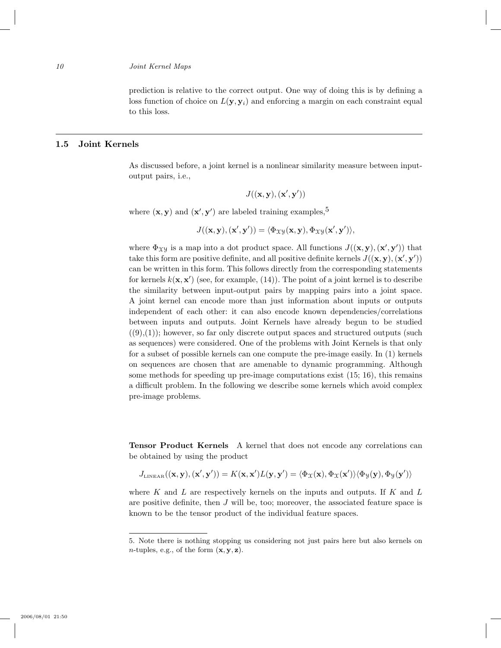prediction is relative to the correct output. One way of doing this is by defining a loss function of choice on  $L(\mathbf{y}, \mathbf{y}_i)$  and enforcing a margin on each constraint equal to this loss.

## 1.5 Joint Kernels

As discussed before, a joint kernel is a nonlinear similarity measure between inputoutput pairs, i.e.,

$$
J((\mathbf{x}, \mathbf{y}), (\mathbf{x}', \mathbf{y}'))
$$

where  $(x, y)$  and  $(x', y')$  are labeled training examples,<sup>5</sup>

$$
J((\mathbf{x}, \mathbf{y}), (\mathbf{x}', \mathbf{y}')) = \langle \Phi_{\mathfrak{X}\mathfrak{Y}}(\mathbf{x}, \mathbf{y}), \Phi_{\mathfrak{X}\mathfrak{Y}}(\mathbf{x}', \mathbf{y}') \rangle,
$$

where  $\Phi_{xy}$  is a map into a dot product space. All functions  $J((\mathbf{x}, \mathbf{y}), (\mathbf{x}', \mathbf{y}'))$  that take this form are positive definite, and all positive definite kernels  $J((\mathbf{x}, \mathbf{y}), (\mathbf{x}', \mathbf{y}'))$ can be written in this form. This follows directly from the corresponding statements for kernels  $k(\mathbf{x}, \mathbf{x}')$  (see, for example, (14)). The point of a joint kernel is to describe the similarity between input-output pairs by mapping pairs into a joint space. A joint kernel can encode more than just information about inputs or outputs independent of each other: it can also encode known dependencies/correlations between inputs and outputs. Joint Kernels have already begun to be studied  $((9),(1))$ ; however, so far only discrete output spaces and structured outputs (such as sequences) were considered. One of the problems with Joint Kernels is that only for a subset of possible kernels can one compute the pre-image easily. In (1) kernels on sequences are chosen that are amenable to dynamic programming. Although some methods for speeding up pre-image computations exist (15; 16), this remains a difficult problem. In the following we describe some kernels which avoid complex pre-image problems.

Tensor Product Kernels A kernel that does not encode any correlations can be obtained by using the product

$$
J_{\text{Linear}}((\mathbf{x},\mathbf{y}),(\mathbf{x}',\mathbf{y}')) = K(\mathbf{x},\mathbf{x}')L(\mathbf{y},\mathbf{y}') = \langle \Phi_{\mathcal{X}}(\mathbf{x}),\Phi_{\mathcal{X}}(\mathbf{x}')\rangle \langle \Phi_{\mathcal{Y}}(\mathbf{y}),\Phi_{\mathcal{Y}}(\mathbf{y}')\rangle
$$

where K and L are respectively kernels on the inputs and outputs. If K and L are positive definite, then J will be, too; moreover, the associated feature space is known to be the tensor product of the individual feature spaces.

<sup>5.</sup> Note there is nothing stopping us considering not just pairs here but also kernels on *n*-tuples, e.g., of the form  $(x, y, z)$ .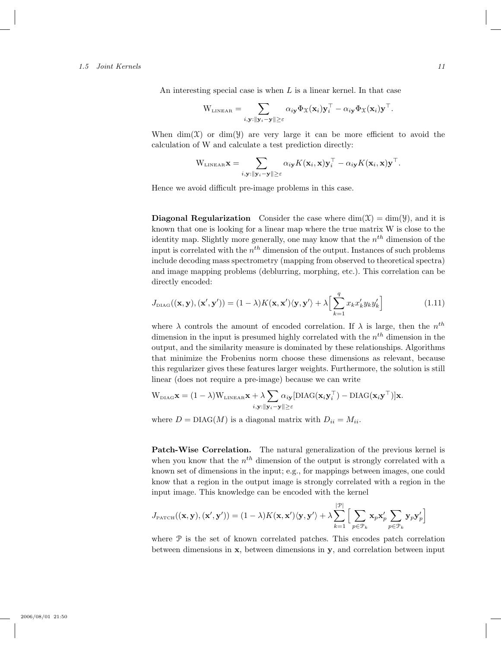#### 1.5 Joint Kernels 11

An interesting special case is when  $L$  is a linear kernel. In that case

$$
W_{\text{LINEAR}} = \sum_{i, \mathbf{y}: \|\mathbf{y}_i - \mathbf{y}\| \geq \varepsilon} \alpha_{i\mathbf{y}} \Phi_{\mathcal{X}}(\mathbf{x}_i) \mathbf{y}_i^{\top} - \alpha_{i\mathbf{y}} \Phi_{\mathcal{X}}(\mathbf{x}_i) \mathbf{y}^{\top}.
$$

When dim(X) or dim(Y) are very large it can be more efficient to avoid the calculation of W and calculate a test prediction directly:

$$
W_{\text{LINEAR}}\mathbf{x} = \sum_{i,\mathbf{y}:||\mathbf{y}_i - \mathbf{y}|| \geq \varepsilon} \alpha_{i\mathbf{y}} K(\mathbf{x}_i, \mathbf{x}) \mathbf{y}_i^{\top} - \alpha_{i\mathbf{y}} K(\mathbf{x}_i, \mathbf{x}) \mathbf{y}^{\top}.
$$

Hence we avoid difficult pre-image problems in this case.

**Diagonal Regularization** Consider the case where  $\dim(\mathcal{X}) = \dim(\mathcal{Y})$ , and it is known that one is looking for a linear map where the true matrix W is close to the identity map. Slightly more generally, one may know that the  $n^{th}$  dimension of the input is correlated with the  $n^{th}$  dimension of the output. Instances of such problems include decoding mass spectrometry (mapping from observed to theoretical spectra) and image mapping problems (deblurring, morphing, etc.). This correlation can be directly encoded:

$$
J_{\text{diag}}((\mathbf{x}, \mathbf{y}), (\mathbf{x}', \mathbf{y}')) = (1 - \lambda)K(\mathbf{x}, \mathbf{x}')\langle \mathbf{y}, \mathbf{y}' \rangle + \lambda \Big[\sum_{k=1}^{q} x_k x'_k y_k y'_k \Big]
$$
(1.11)

where  $\lambda$  controls the amount of encoded correlation. If  $\lambda$  is large, then the  $n^{th}$ dimension in the input is presumed highly correlated with the  $n^{th}$  dimension in the output, and the similarity measure is dominated by these relationships. Algorithms that minimize the Frobenius norm choose these dimensions as relevant, because this regularizer gives these features larger weights. Furthermore, the solution is still linear (does not require a pre-image) because we can write

$$
W_{\text{diag}}\mathbf{x} = (1 - \lambda)W_{\text{LINEAR}}\mathbf{x} + \lambda \sum_{i,\mathbf{y}:||\mathbf{y}_i - \mathbf{y}|| \geq \varepsilon} \alpha_{i\mathbf{y}}[\text{DIAG}(\mathbf{x}_i \mathbf{y}_i^\top) - \text{DIAG}(\mathbf{x}_i \mathbf{y}^\top)]\mathbf{x}.
$$

where  $D = \text{DIAG}(M)$  is a diagonal matrix with  $D_{ii} = M_{ii}$ .

Patch-Wise Correlation. The natural generalization of the previous kernel is when you know that the  $n<sup>th</sup>$  dimension of the output is strongly correlated with a known set of dimensions in the input; e.g., for mappings between images, one could know that a region in the output image is strongly correlated with a region in the input image. This knowledge can be encoded with the kernel

$$
J_{\text{PATCH}}((\mathbf{x}, \mathbf{y}), (\mathbf{x}', \mathbf{y}')) = (1 - \lambda)K(\mathbf{x}, \mathbf{x}')\langle \mathbf{y}, \mathbf{y}' \rangle + \lambda \sum_{k=1}^{|\mathcal{P}|} \Big[ \sum_{p \in \mathcal{P}_k} \mathbf{x}_p \mathbf{x}'_p \sum_{p \in \mathcal{P}_k} \mathbf{y}_p \mathbf{y}'_p \Big]
$$

where  $\mathcal P$  is the set of known correlated patches. This encodes patch correlation between dimensions in  $x$ , between dimensions in  $y$ , and correlation between input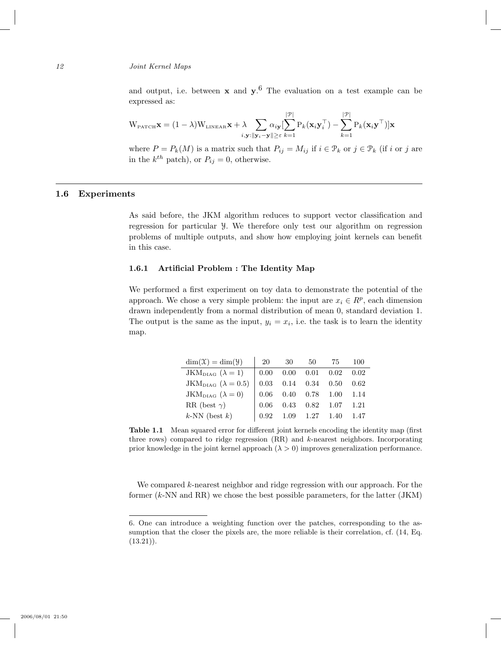12 Joint Kernel Maps

and output, i.e. between  $x$  and  $y$ .<sup>6</sup> The evaluation on a test example can be expressed as:

$$
\mathbf{W}_{\text{PATCH}}\mathbf{x} = (1 - \lambda)\mathbf{W}_{\text{LINEAR}}\mathbf{x} + \lambda \sum_{i,\mathbf{y}:||\mathbf{y}_i - \mathbf{y}|| \ge \varepsilon} \alpha_{i\mathbf{y}} \left[ \sum_{k=1}^{|\mathcal{P}|} \mathrm{P}_k(\mathbf{x}_i \mathbf{y}_i^\top) - \sum_{k=1}^{|\mathcal{P}|} \mathrm{P}_k(\mathbf{x}_i \mathbf{y}^\top) \right] \mathbf{x}
$$

where  $P = P_k(M)$  is a matrix such that  $P_{ij} = M_{ij}$  if  $i \in \mathcal{P}_k$  or  $j \in \mathcal{P}_k$  (if i or j are in the  $k^{th}$  patch), or  $P_{ij} = 0$ , otherwise.

## 1.6 Experiments

As said before, the JKM algorithm reduces to support vector classification and regression for particular Y. We therefore only test our algorithm on regression problems of multiple outputs, and show how employing joint kernels can benefit in this case.

## 1.6.1 Artificial Problem : The Identity Map

We performed a first experiment on toy data to demonstrate the potential of the approach. We chose a very simple problem: the input are  $x_i \in R^p$ , each dimension drawn independently from a normal distribution of mean 0, standard deviation 1. The output is the same as the input,  $y_i = x_i$ , i.e. the task is to learn the identity map.

| $\dim(\mathfrak{X}) = \dim(\mathfrak{Y})$ | 20   | 30                                         | 50                                                 | 75 | 100  |
|-------------------------------------------|------|--------------------------------------------|----------------------------------------------------|----|------|
| $JKM_{\text{DIAG}}(\lambda=1)$            | 0.00 |                                            | $0.00 \quad 0.01 \quad 0.02$                       |    | 0.02 |
| JKM <sub>DIAG</sub> ( $\lambda = 0.5$ )   |      | $0.03 \qquad 0.14 \qquad 0.34 \qquad 0.50$ |                                                    |    | 0.62 |
| JKM <sub>DIAG</sub> ( $\lambda = 0$ )     | 0.06 |                                            | $0.40\phantom{00}\phantom{00}0.78\phantom{00}1.00$ |    | 1.14 |
| RR (best $\gamma$ )                       | 0.06 |                                            | $0.43$ $0.82$ $1.07$                               |    | 1.21 |
| $k$ -NN (best $k$ )                       | 0.92 |                                            | $1.09$ $1.27$ $1.40$                               |    | 1.47 |

Table 1.1 Mean squared error for different joint kernels encoding the identity map (first three rows) compared to ridge regression  $(RR)$  and k-nearest neighbors. Incorporating prior knowledge in the joint kernel approach  $(\lambda > 0)$  improves generalization performance.

We compared k-nearest neighbor and ridge regression with our approach. For the former (k-NN and RR) we chose the best possible parameters, for the latter (JKM)

<sup>6.</sup> One can introduce a weighting function over the patches, corresponding to the assumption that the closer the pixels are, the more reliable is their correlation, cf. (14, Eq.  $(13.21)$ .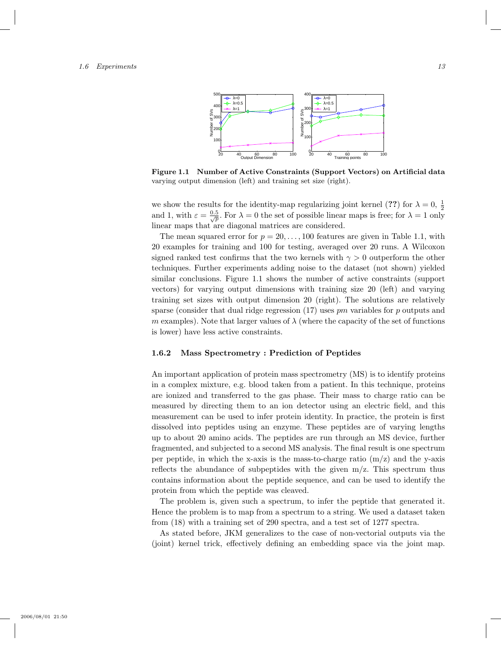

Figure 1.1 Number of Active Constraints (Support Vectors) on Artificial data varying output dimension (left) and training set size (right).

we show the results for the identity-map regularizing joint kernel (??) for  $\lambda = 0, \frac{1}{2}$ and 1, with  $\varepsilon = \frac{0.5}{\sqrt{p}}$ . For  $\lambda = 0$  the set of possible linear maps is free; for  $\lambda = 1$  only linear maps that are diagonal matrices are considered.

The mean squared error for  $p = 20, \ldots, 100$  features are given in Table 1.1, with 20 examples for training and 100 for testing, averaged over 20 runs. A Wilcoxon signed ranked test confirms that the two kernels with  $\gamma > 0$  outperform the other techniques. Further experiments adding noise to the dataset (not shown) yielded similar conclusions. Figure 1.1 shows the number of active constraints (support vectors) for varying output dimensions with training size 20 (left) and varying training set sizes with output dimension 20 (right). The solutions are relatively sparse (consider that dual ridge regression  $(17)$  uses pm variables for p outputs and m examples). Note that larger values of  $\lambda$  (where the capacity of the set of functions is lower) have less active constraints.

## 1.6.2 Mass Spectrometry : Prediction of Peptides

An important application of protein mass spectrometry (MS) is to identify proteins in a complex mixture, e.g. blood taken from a patient. In this technique, proteins are ionized and transferred to the gas phase. Their mass to charge ratio can be measured by directing them to an ion detector using an electric field, and this measurement can be used to infer protein identity. In practice, the protein is first dissolved into peptides using an enzyme. These peptides are of varying lengths up to about 20 amino acids. The peptides are run through an MS device, further fragmented, and subjected to a second MS analysis. The final result is one spectrum per peptide, in which the x-axis is the mass-to-charge ratio  $(m/z)$  and the y-axis reflects the abundance of subpeptides with the given m/z. This spectrum thus contains information about the peptide sequence, and can be used to identify the protein from which the peptide was cleaved.

The problem is, given such a spectrum, to infer the peptide that generated it. Hence the problem is to map from a spectrum to a string. We used a dataset taken from (18) with a training set of 290 spectra, and a test set of 1277 spectra.

As stated before, JKM generalizes to the case of non-vectorial outputs via the (joint) kernel trick, effectively defining an embedding space via the joint map.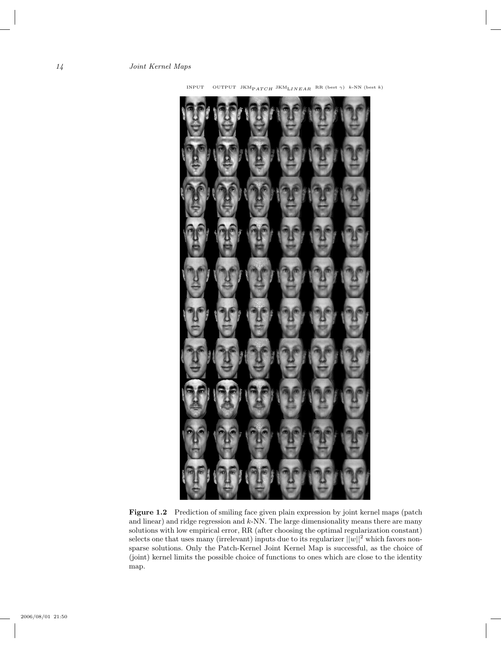

INPUT OUTPUT JKMP $ATCH$ JKML $INEAR$ RR (best $\gamma)$   $\;$   $k\text{-NN}$  (best  $k)$ 

Figure 1.2 Prediction of smiling face given plain expression by joint kernel maps (patch and linear) and ridge regression and  $k$ -NN. The large dimensionality means there are many solutions with low empirical error, RR (after choosing the optimal regularization constant) selects one that uses many (irrelevant) inputs due to its regularizer  $||w||^2$  which favors nonsparse solutions. Only the Patch-Kernel Joint Kernel Map is successful, as the choice of (joint) kernel limits the possible choice of functions to ones which are close to the identity map.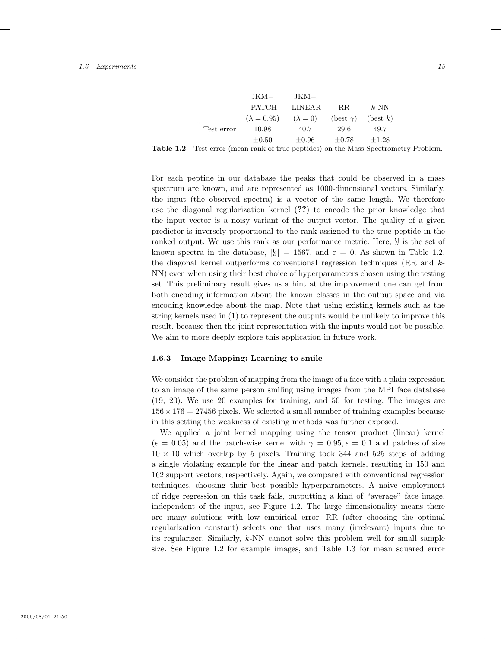|                                             | ${\rm JKM}-{\rm JKM}-$                                                        |                 |            |               |  |
|---------------------------------------------|-------------------------------------------------------------------------------|-----------------|------------|---------------|--|
|                                             |                                                                               | PATCH LINEAR RR |            | $k\text{-NN}$ |  |
|                                             | $(\lambda = 0.95)$ $(\lambda = 0)$ $(\text{best } \gamma)$ $(\text{best } k)$ |                 |            |               |  |
| Test error                                  | 10.98                                                                         | 40.7            | 29.6       | 49.7          |  |
| $\pm 0.50$ $\pm 0.96$ $\pm 0.78$ $\pm 1.28$ | $\pm 0.50$                                                                    |                 | $\pm 0.78$ |               |  |
|                                             |                                                                               |                 |            |               |  |

Table 1.2 Test error (mean rank of true peptides) on the Mass Spectrometry Problem.

For each peptide in our database the peaks that could be observed in a mass spectrum are known, and are represented as 1000-dimensional vectors. Similarly, the input (the observed spectra) is a vector of the same length. We therefore use the diagonal regularization kernel (??) to encode the prior knowledge that the input vector is a noisy variant of the output vector. The quality of a given predictor is inversely proportional to the rank assigned to the true peptide in the ranked output. We use this rank as our performance metric. Here,  $\mathcal{Y}$  is the set of known spectra in the database,  $|\mathcal{Y}| = 1567$ , and  $\varepsilon = 0$ . As shown in Table 1.2, the diagonal kernel outperforms conventional regression techniques (RR and k-NN) even when using their best choice of hyperparameters chosen using the testing set. This preliminary result gives us a hint at the improvement one can get from both encoding information about the known classes in the output space and via encoding knowledge about the map. Note that using existing kernels such as the string kernels used in (1) to represent the outputs would be unlikely to improve this result, because then the joint representation with the inputs would not be possible. We aim to more deeply explore this application in future work.

#### 1.6.3 Image Mapping: Learning to smile

We consider the problem of mapping from the image of a face with a plain expression to an image of the same person smiling using images from the MPI face database (19; 20). We use 20 examples for training, and 50 for testing. The images are  $156 \times 176 = 27456$  pixels. We selected a small number of training examples because in this setting the weakness of existing methods was further exposed.

We applied a joint kernel mapping using the tensor product (linear) kernel  $(\epsilon = 0.05)$  and the patch-wise kernel with  $\gamma = 0.95, \epsilon = 0.1$  and patches of size  $10 \times 10$  which overlap by 5 pixels. Training took 344 and 525 steps of adding a single violating example for the linear and patch kernels, resulting in 150 and 162 support vectors, respectively. Again, we compared with conventional regression techniques, choosing their best possible hyperparameters. A naive employment of ridge regression on this task fails, outputting a kind of "average" face image, independent of the input, see Figure 1.2. The large dimensionality means there are many solutions with low empirical error, RR (after choosing the optimal regularization constant) selects one that uses many (irrelevant) inputs due to its regularizer. Similarly, k-NN cannot solve this problem well for small sample size. See Figure 1.2 for example images, and Table 1.3 for mean squared error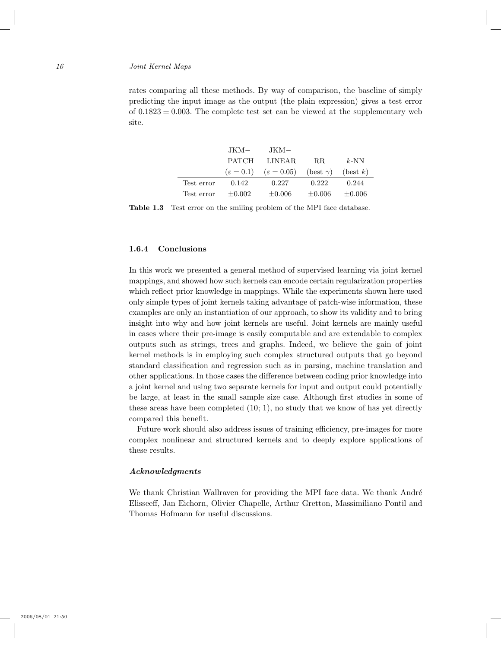rates comparing all these methods. By way of comparison, the baseline of simply predicting the input image as the output (the plain expression) gives a test error of  $0.1823 \pm 0.003$ . The complete test set can be viewed at the supplementary web site.

|            | $_{\rm{JKM-}}$ | JKM-                                                                                    |             |             |
|------------|----------------|-----------------------------------------------------------------------------------------|-------------|-------------|
|            | PATCH          | <b>LINEAR</b>                                                                           | RR.         | $k$ -NN     |
|            |                | $(\varepsilon = 0.1)$ $(\varepsilon = 0.05)$ $(\text{best } \gamma)$ $(\text{best } k)$ |             |             |
| Test error | 0.142          | 0.227                                                                                   | 0.222       | 0.244       |
| Test error | $\pm 0.002$    | $\pm 0.006$                                                                             | $\pm 0.006$ | $\pm 0.006$ |

Table 1.3 Test error on the smiling problem of the MPI face database.

## 1.6.4 Conclusions

In this work we presented a general method of supervised learning via joint kernel mappings, and showed how such kernels can encode certain regularization properties which reflect prior knowledge in mappings. While the experiments shown here used only simple types of joint kernels taking advantage of patch-wise information, these examples are only an instantiation of our approach, to show its validity and to bring insight into why and how joint kernels are useful. Joint kernels are mainly useful in cases where their pre-image is easily computable and are extendable to complex outputs such as strings, trees and graphs. Indeed, we believe the gain of joint kernel methods is in employing such complex structured outputs that go beyond standard classification and regression such as in parsing, machine translation and other applications. In those cases the difference between coding prior knowledge into a joint kernel and using two separate kernels for input and output could potentially be large, at least in the small sample size case. Although first studies in some of these areas have been completed  $(10; 1)$ , no study that we know of has yet directly compared this benefit.

Future work should also address issues of training efficiency, pre-images for more complex nonlinear and structured kernels and to deeply explore applications of these results.

## Acknowledgments

We thank Christian Wallraven for providing the MPI face data. We thank André Elisseeff, Jan Eichorn, Olivier Chapelle, Arthur Gretton, Massimiliano Pontil and Thomas Hofmann for useful discussions.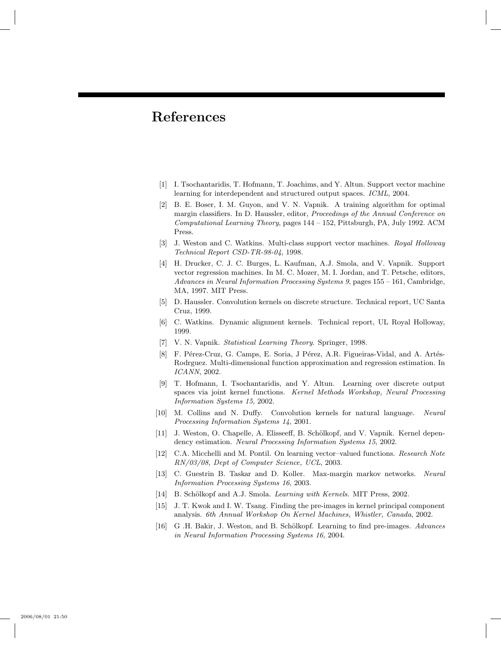## References

- [1] I. Tsochantaridis, T. Hofmann, T. Joachims, and Y. Altun. Support vector machine learning for interdependent and structured output spaces. ICML, 2004.
- [2] B. E. Boser, I. M. Guyon, and V. N. Vapnik. A training algorithm for optimal margin classifiers. In D. Haussler, editor, Proceedings of the Annual Conference on Computational Learning Theory, pages 144 – 152, Pittsburgh, PA, July 1992. ACM Press.
- [3] J. Weston and C. Watkins. Multi-class support vector machines. Royal Holloway Technical Report CSD-TR-98-04, 1998.
- [4] H. Drucker, C. J. C. Burges, L. Kaufman, A.J. Smola, and V. Vapnik. Support vector regression machines. In M. C. Mozer, M. I. Jordan, and T. Petsche, editors, Advances in Neural Information Processing Systems 9, pages 155 – 161, Cambridge, MA, 1997. MIT Press.
- [5] D. Haussler. Convolution kernels on discrete structure. Technical report, UC Santa Cruz, 1999.
- [6] C. Watkins. Dynamic alignment kernels. Technical report, UL Royal Holloway, 1999.
- [7] V. N. Vapnik. Statistical Learning Theory. Springer, 1998.
- [8] F. Pérez-Cruz, G. Camps, E. Soria, J Pérez, A.R. Figueiras-Vidal, and A. Artés-Rodrguez. Multi-dimensional function approximation and regression estimation. In ICANN, 2002.
- [9] T. Hofmann, I. Tsochantaridis, and Y. Altun. Learning over discrete output spaces via joint kernel functions. Kernel Methods Workshop, Neural Processing Information Systems 15, 2002.
- [10] M. Collins and N. Duffy. Convolution kernels for natural language. Neural Processing Information Systems 14, 2001.
- [11] J. Weston, O. Chapelle, A. Elisseeff, B. Schölkopf, and V. Vapnik. Kernel dependency estimation. Neural Processing Information Systems 15, 2002.
- [12] C.A. Micchelli and M. Pontil. On learning vector–valued functions. Research Note RN/03/08, Dept of Computer Science, UCL, 2003.
- [13] C. Guestrin B. Taskar and D. Koller. Max-margin markov networks. Neural Information Processing Systems 16, 2003.
- [14] B. Schölkopf and A.J. Smola. *Learning with Kernels*. MIT Press, 2002.
- [15] J. T. Kwok and I. W. Tsang. Finding the pre-images in kernel principal component analysis. 6th Annual Workshop On Kernel Machines, Whistler, Canada, 2002.
- [16] G .H. Bakir, J. Weston, and B. Schölkopf. Learning to find pre-images. Advances in Neural Information Processing Systems 16, 2004.